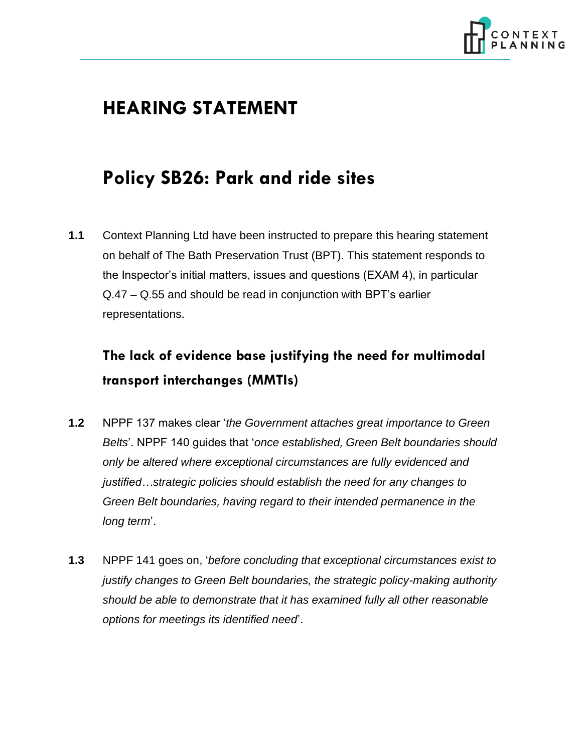

# **HEARING STATEMENT**

# **Policy SB26: Park and ride sites**

**1.1** Context Planning Ltd have been instructed to prepare this hearing statement on behalf of The Bath Preservation Trust (BPT). This statement responds to the Inspector's initial matters, issues and questions (EXAM 4), in particular Q.47 – Q.55 and should be read in conjunction with BPT's earlier representations.

## **The lack of evidence base justifying the need for multimodal transport interchanges (MMTIs)**

- **1.2** NPPF 137 makes clear '*the Government attaches great importance to Green Belts*'. NPPF 140 guides that '*once established, Green Belt boundaries should only be altered where exceptional circumstances are fully evidenced and justified…strategic policies should establish the need for any changes to Green Belt boundaries, having regard to their intended permanence in the long term*'.
- **1.3** NPPF 141 goes on, '*before concluding that exceptional circumstances exist to justify changes to Green Belt boundaries, the strategic policy-making authority should be able to demonstrate that it has examined fully all other reasonable options for meetings its identified need*'.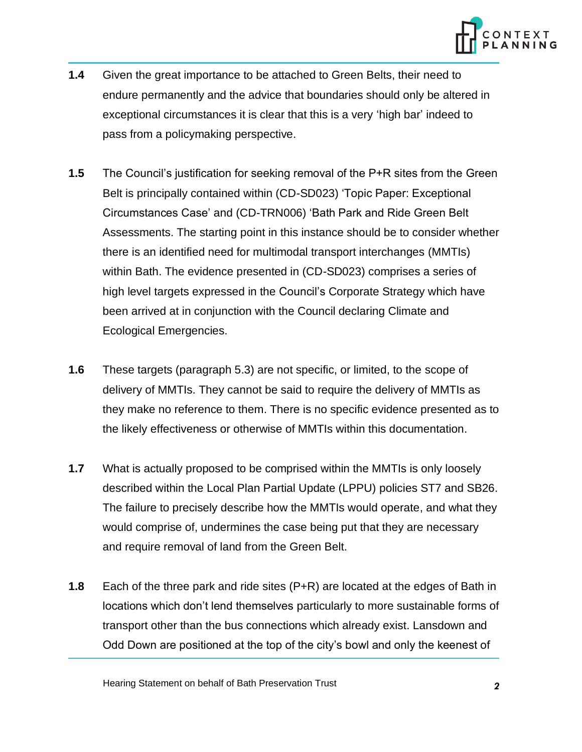

- **1.4** Given the great importance to be attached to Green Belts, their need to endure permanently and the advice that boundaries should only be altered in exceptional circumstances it is clear that this is a very 'high bar' indeed to pass from a policymaking perspective.
- **1.5** The Council's justification for seeking removal of the P+R sites from the Green Belt is principally contained within (CD-SD023) 'Topic Paper: Exceptional Circumstances Case' and (CD-TRN006) 'Bath Park and Ride Green Belt Assessments. The starting point in this instance should be to consider whether there is an identified need for multimodal transport interchanges (MMTIs) within Bath. The evidence presented in (CD-SD023) comprises a series of high level targets expressed in the Council's Corporate Strategy which have been arrived at in conjunction with the Council declaring Climate and Ecological Emergencies.
- **1.6** These targets (paragraph 5.3) are not specific, or limited, to the scope of delivery of MMTIs. They cannot be said to require the delivery of MMTIs as they make no reference to them. There is no specific evidence presented as to the likely effectiveness or otherwise of MMTIs within this documentation.
- **1.7** What is actually proposed to be comprised within the MMTIs is only loosely described within the Local Plan Partial Update (LPPU) policies ST7 and SB26. The failure to precisely describe how the MMTIs would operate, and what they would comprise of, undermines the case being put that they are necessary and require removal of land from the Green Belt.
- **1.8** Each of the three park and ride sites (P+R) are located at the edges of Bath in locations which don't lend themselves particularly to more sustainable forms of transport other than the bus connections which already exist. Lansdown and Odd Down are positioned at the top of the city's bowl and only the keenest of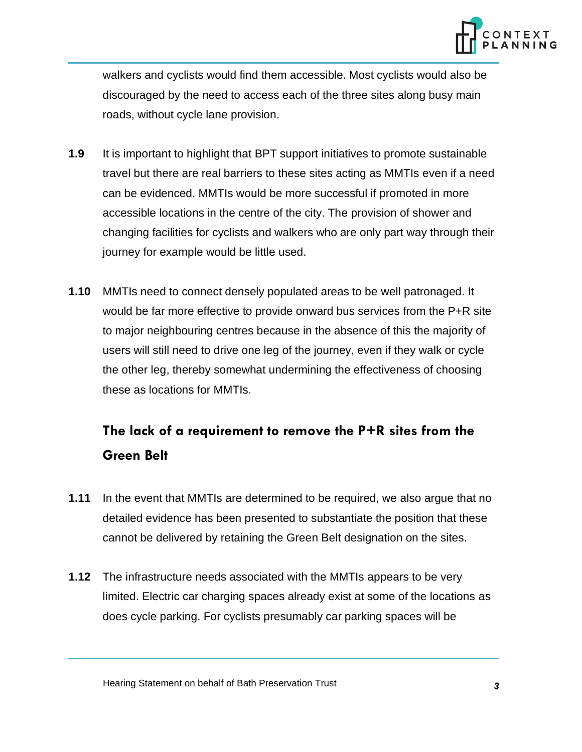

walkers and cyclists would find them accessible. Most cyclists would also be discouraged by the need to access each of the three sites along busy main roads, without cycle lane provision.

- **1.9** It is important to highlight that BPT support initiatives to promote sustainable travel but there are real barriers to these sites acting as MMTIs even if a need can be evidenced. MMTIs would be more successful if promoted in more accessible locations in the centre of the city. The provision of shower and changing facilities for cyclists and walkers who are only part way through their journey for example would be little used.
- **1.10** MMTIs need to connect densely populated areas to be well patronaged. It would be far more effective to provide onward bus services from the P+R site to major neighbouring centres because in the absence of this the majority of users will still need to drive one leg of the journey, even if they walk or cycle the other leg, thereby somewhat undermining the effectiveness of choosing these as locations for MMTIs.

## **The lack of a requirement to remove the P+R sites from the Green Belt**

- **1.11** In the event that MMTIs are determined to be required, we also argue that no detailed evidence has been presented to substantiate the position that these cannot be delivered by retaining the Green Belt designation on the sites.
- **1.12** The infrastructure needs associated with the MMTIs appears to be very limited. Electric car charging spaces already exist at some of the locations as does cycle parking. For cyclists presumably car parking spaces will be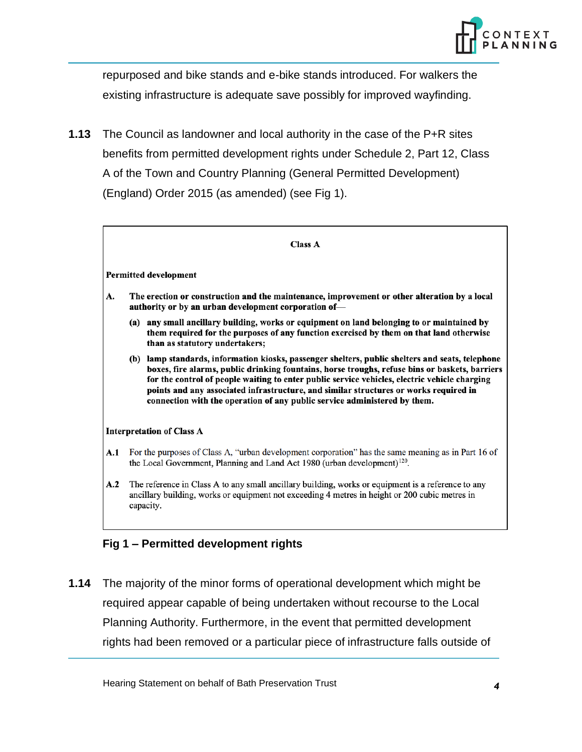

repurposed and bike stands and e-bike stands introduced. For walkers the existing infrastructure is adequate save possibly for improved wayfinding.

**1.13** The Council as landowner and local authority in the case of the P+R sites benefits from permitted development rights under Schedule 2, Part 12, Class A of the Town and Country Planning (General Permitted Development) (England) Order 2015 (as amended) (see Fig 1).

| ٠<br>۰<br>۰.<br>i |  |
|-------------------|--|
|-------------------|--|

#### **Permitted development**

- A. The erection or construction and the maintenance, improvement or other alteration by a local authority or by an urban development corporation of-
	- (a) any small ancillary building, works or equipment on land belonging to or maintained by them required for the purposes of any function exercised by them on that land otherwise than as statutory undertakers;
	- (b) lamp standards, information kiosks, passenger shelters, public shelters and seats, telephone boxes, fire alarms, public drinking fountains, horse troughs, refuse bins or baskets, barriers for the control of people waiting to enter public service vehicles, electric vehicle charging points and any associated infrastructure, and similar structures or works required in connection with the operation of any public service administered by them.

### **Interpretation of Class A**

- A.1 For the purposes of Class A, "urban development corporation" has the same meaning as in Part 16 of the Local Government, Planning and Land Act 1980 (urban development)<sup>120</sup>.
- $A.2$ The reference in Class A to any small ancillary building, works or equipment is a reference to any ancillary building, works or equipment not exceeding 4 metres in height or 200 cubic metres in capacity.

### **Fig 1 – Permitted development rights**

**1.14** The majority of the minor forms of operational development which might be required appear capable of being undertaken without recourse to the Local Planning Authority. Furthermore, in the event that permitted development rights had been removed or a particular piece of infrastructure falls outside of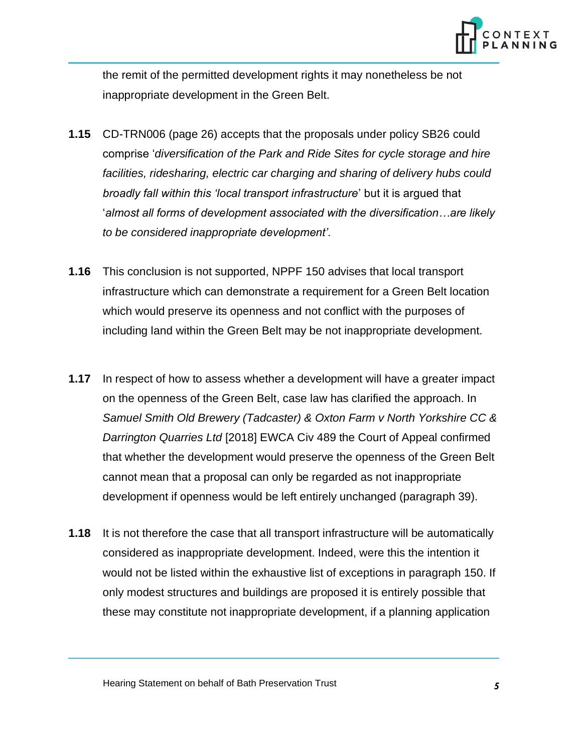

the remit of the permitted development rights it may nonetheless be not inappropriate development in the Green Belt.

- **1.15** CD-TRN006 (page 26) accepts that the proposals under policy SB26 could comprise '*diversification of the Park and Ride Sites for cycle storage and hire facilities, ridesharing, electric car charging and sharing of delivery hubs could broadly fall within this 'local transport infrastructure*' but it is argued that '*almost all forms of development associated with the diversification…are likely to be considered inappropriate development'*.
- **1.16** This conclusion is not supported, NPPF 150 advises that local transport infrastructure which can demonstrate a requirement for a Green Belt location which would preserve its openness and not conflict with the purposes of including land within the Green Belt may be not inappropriate development.
- **1.17** In respect of how to assess whether a development will have a greater impact on the openness of the Green Belt, case law has clarified the approach. In *Samuel Smith Old Brewery (Tadcaster) & Oxton Farm v North Yorkshire CC & Darrington Quarries Ltd* [2018] EWCA Civ 489 the Court of Appeal confirmed that whether the development would preserve the openness of the Green Belt cannot mean that a proposal can only be regarded as not inappropriate development if openness would be left entirely unchanged (paragraph 39).
- **1.18** It is not therefore the case that all transport infrastructure will be automatically considered as inappropriate development. Indeed, were this the intention it would not be listed within the exhaustive list of exceptions in paragraph 150. If only modest structures and buildings are proposed it is entirely possible that these may constitute not inappropriate development, if a planning application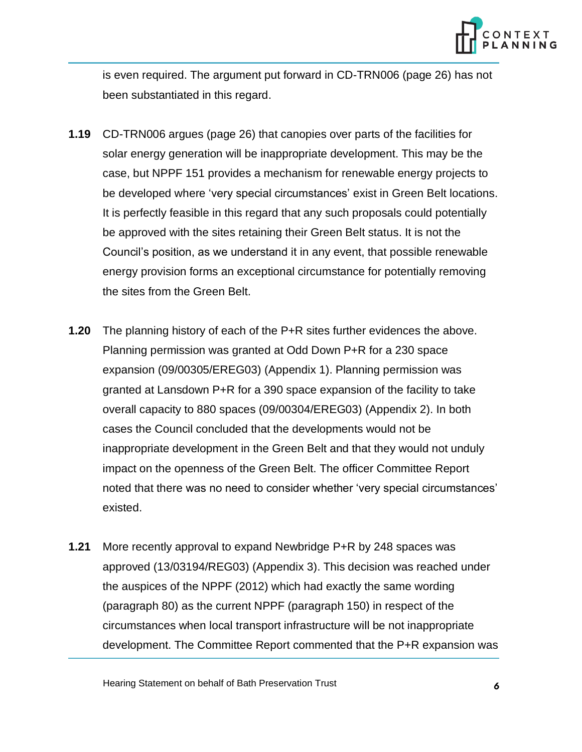

is even required. The argument put forward in CD-TRN006 (page 26) has not been substantiated in this regard.

- **1.19** CD-TRN006 argues (page 26) that canopies over parts of the facilities for solar energy generation will be inappropriate development. This may be the case, but NPPF 151 provides a mechanism for renewable energy projects to be developed where 'very special circumstances' exist in Green Belt locations. It is perfectly feasible in this regard that any such proposals could potentially be approved with the sites retaining their Green Belt status. It is not the Council's position, as we understand it in any event, that possible renewable energy provision forms an exceptional circumstance for potentially removing the sites from the Green Belt.
- **1.20** The planning history of each of the P+R sites further evidences the above. Planning permission was granted at Odd Down P+R for a 230 space expansion (09/00305/EREG03) (Appendix 1). Planning permission was granted at Lansdown P+R for a 390 space expansion of the facility to take overall capacity to 880 spaces (09/00304/EREG03) (Appendix 2). In both cases the Council concluded that the developments would not be inappropriate development in the Green Belt and that they would not unduly impact on the openness of the Green Belt. The officer Committee Report noted that there was no need to consider whether 'very special circumstances' existed.
- **1.21** More recently approval to expand Newbridge P+R by 248 spaces was approved (13/03194/REG03) (Appendix 3). This decision was reached under the auspices of the NPPF (2012) which had exactly the same wording (paragraph 80) as the current NPPF (paragraph 150) in respect of the circumstances when local transport infrastructure will be not inappropriate development. The Committee Report commented that the P+R expansion was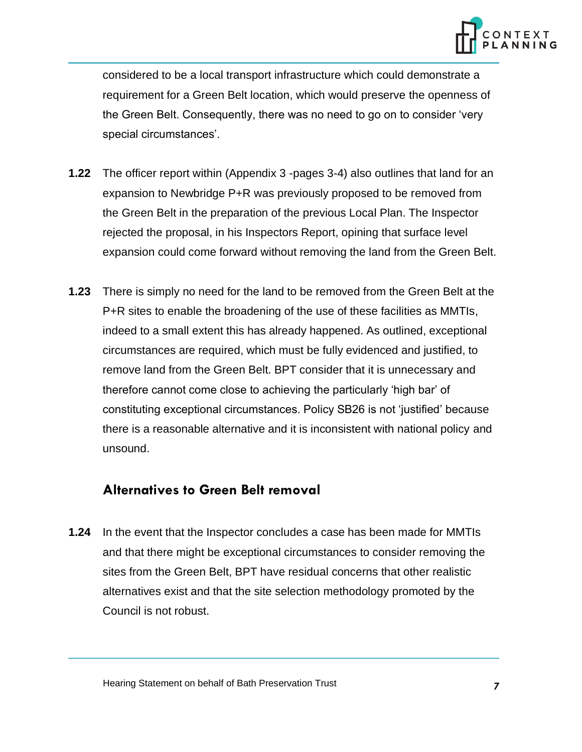

considered to be a local transport infrastructure which could demonstrate a requirement for a Green Belt location, which would preserve the openness of the Green Belt. Consequently, there was no need to go on to consider 'very special circumstances'.

- **1.22** The officer report within (Appendix 3 -pages 3-4) also outlines that land for an expansion to Newbridge P+R was previously proposed to be removed from the Green Belt in the preparation of the previous Local Plan. The Inspector rejected the proposal, in his Inspectors Report, opining that surface level expansion could come forward without removing the land from the Green Belt.
- **1.23** There is simply no need for the land to be removed from the Green Belt at the P+R sites to enable the broadening of the use of these facilities as MMTIs, indeed to a small extent this has already happened. As outlined, exceptional circumstances are required, which must be fully evidenced and justified, to remove land from the Green Belt. BPT consider that it is unnecessary and therefore cannot come close to achieving the particularly 'high bar' of constituting exceptional circumstances. Policy SB26 is not 'justified' because there is a reasonable alternative and it is inconsistent with national policy and unsound.

### **Alternatives to Green Belt removal**

**1.24** In the event that the Inspector concludes a case has been made for MMTIs and that there might be exceptional circumstances to consider removing the sites from the Green Belt, BPT have residual concerns that other realistic alternatives exist and that the site selection methodology promoted by the Council is not robust.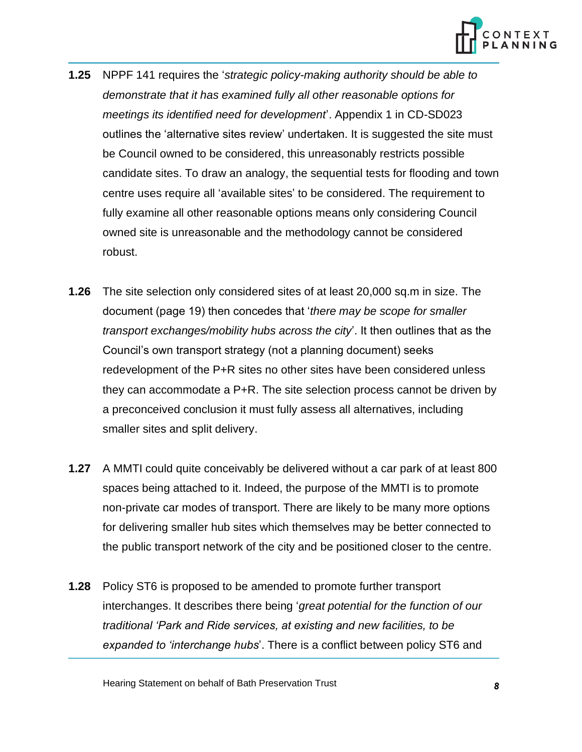

- **1.25** NPPF 141 requires the '*strategic policy-making authority should be able to demonstrate that it has examined fully all other reasonable options for meetings its identified need for development*'. Appendix 1 in CD-SD023 outlines the 'alternative sites review' undertaken. It is suggested the site must be Council owned to be considered, this unreasonably restricts possible candidate sites. To draw an analogy, the sequential tests for flooding and town centre uses require all 'available sites' to be considered. The requirement to fully examine all other reasonable options means only considering Council owned site is unreasonable and the methodology cannot be considered robust.
- **1.26** The site selection only considered sites of at least 20,000 sq.m in size. The document (page 19) then concedes that '*there may be scope for smaller transport exchanges/mobility hubs across the city*'. It then outlines that as the Council's own transport strategy (not a planning document) seeks redevelopment of the P+R sites no other sites have been considered unless they can accommodate a P+R. The site selection process cannot be driven by a preconceived conclusion it must fully assess all alternatives, including smaller sites and split delivery.
- **1.27** A MMTI could quite conceivably be delivered without a car park of at least 800 spaces being attached to it. Indeed, the purpose of the MMTI is to promote non-private car modes of transport. There are likely to be many more options for delivering smaller hub sites which themselves may be better connected to the public transport network of the city and be positioned closer to the centre.
- **1.28** Policy ST6 is proposed to be amended to promote further transport interchanges. It describes there being '*great potential for the function of our traditional 'Park and Ride services, at existing and new facilities, to be expanded to 'interchange hubs*'. There is a conflict between policy ST6 and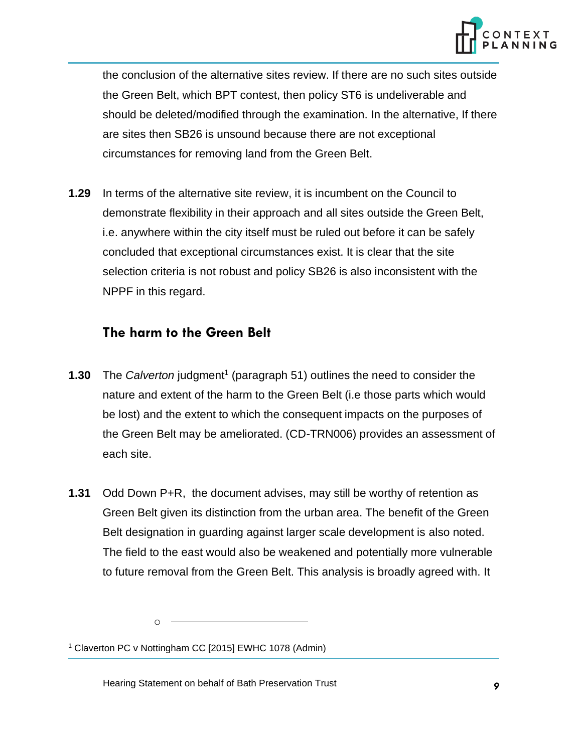

the conclusion of the alternative sites review. If there are no such sites outside the Green Belt, which BPT contest, then policy ST6 is undeliverable and should be deleted/modified through the examination. In the alternative, If there are sites then SB26 is unsound because there are not exceptional circumstances for removing land from the Green Belt.

**1.29** In terms of the alternative site review, it is incumbent on the Council to demonstrate flexibility in their approach and all sites outside the Green Belt, i.e. anywhere within the city itself must be ruled out before it can be safely concluded that exceptional circumstances exist. It is clear that the site selection criteria is not robust and policy SB26 is also inconsistent with the NPPF in this regard.

## **The harm to the Green Belt**

- **1.30** The *Calverton* judgment<sup>1</sup> (paragraph 51) outlines the need to consider the nature and extent of the harm to the Green Belt (i.e those parts which would be lost) and the extent to which the consequent impacts on the purposes of the Green Belt may be ameliorated. (CD-TRN006) provides an assessment of each site.
- **1.31** Odd Down P+R, the document advises, may still be worthy of retention as Green Belt given its distinction from the urban area. The benefit of the Green Belt designation in guarding against larger scale development is also noted. The field to the east would also be weakened and potentially more vulnerable to future removal from the Green Belt. This analysis is broadly agreed with. It

o

<sup>1</sup> Claverton PC v Nottingham CC [2015] EWHC 1078 (Admin)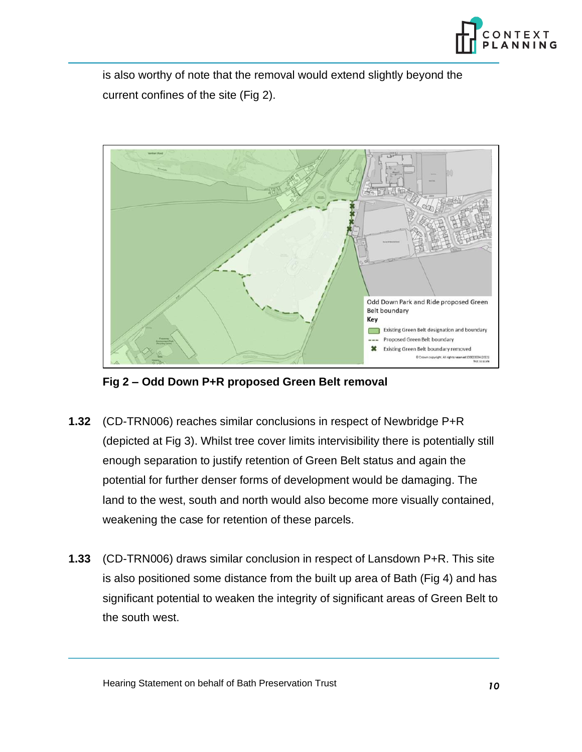

is also worthy of note that the removal would extend slightly beyond the current confines of the site (Fig 2).



**Fig 2 – Odd Down P+R proposed Green Belt removal**

- **1.32** (CD-TRN006) reaches similar conclusions in respect of Newbridge P+R (depicted at Fig 3). Whilst tree cover limits intervisibility there is potentially still enough separation to justify retention of Green Belt status and again the potential for further denser forms of development would be damaging. The land to the west, south and north would also become more visually contained, weakening the case for retention of these parcels.
- **1.33** (CD-TRN006) draws similar conclusion in respect of Lansdown P+R. This site is also positioned some distance from the built up area of Bath (Fig 4) and has significant potential to weaken the integrity of significant areas of Green Belt to the south west.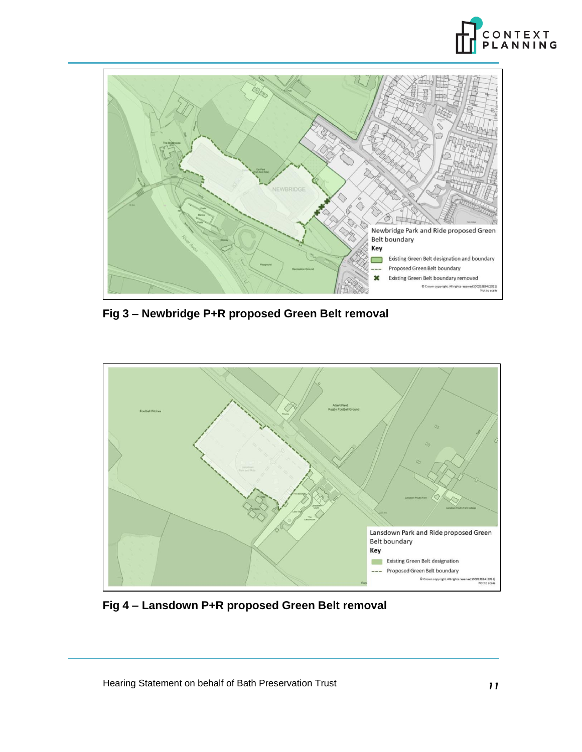



**Fig 3 – Newbridge P+R proposed Green Belt removal**



**Fig 4 – Lansdown P+R proposed Green Belt removal**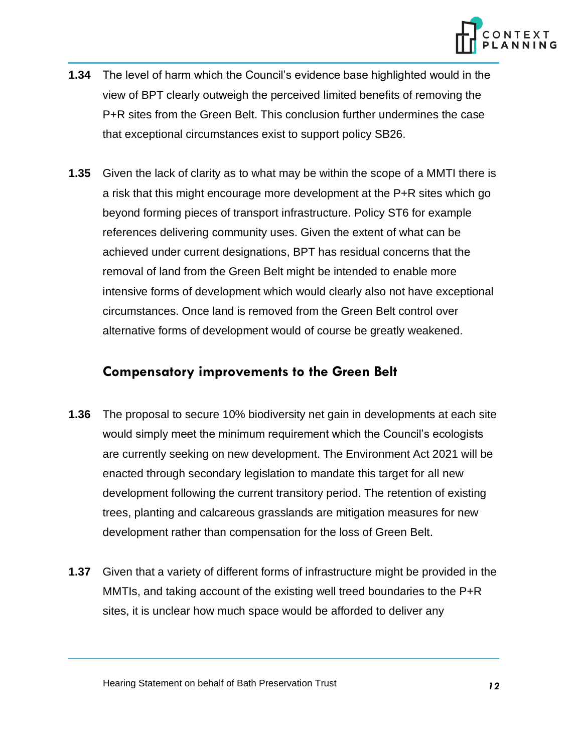

- **1.34** The level of harm which the Council's evidence base highlighted would in the view of BPT clearly outweigh the perceived limited benefits of removing the P+R sites from the Green Belt. This conclusion further undermines the case that exceptional circumstances exist to support policy SB26.
- **1.35** Given the lack of clarity as to what may be within the scope of a MMTI there is a risk that this might encourage more development at the P+R sites which go beyond forming pieces of transport infrastructure. Policy ST6 for example references delivering community uses. Given the extent of what can be achieved under current designations, BPT has residual concerns that the removal of land from the Green Belt might be intended to enable more intensive forms of development which would clearly also not have exceptional circumstances. Once land is removed from the Green Belt control over alternative forms of development would of course be greatly weakened.

### **Compensatory improvements to the Green Belt**

- **1.36** The proposal to secure 10% biodiversity net gain in developments at each site would simply meet the minimum requirement which the Council's ecologists are currently seeking on new development. The Environment Act 2021 will be enacted through secondary legislation to mandate this target for all new development following the current transitory period. The retention of existing trees, planting and calcareous grasslands are mitigation measures for new development rather than compensation for the loss of Green Belt.
- **1.37** Given that a variety of different forms of infrastructure might be provided in the MMTIs, and taking account of the existing well treed boundaries to the P+R sites, it is unclear how much space would be afforded to deliver any